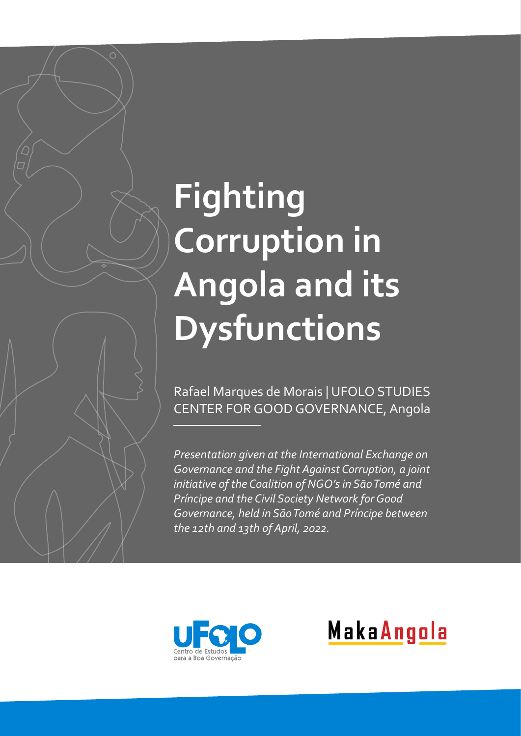# **Fighting Corruption in Angola and its Dysfunctions**

Rafael Marques de Morais | UFOLO STUDIES CENTER FOR GOOD GOVERNANCE, Angola

*Presentation given at the International Exchange on Governance and the Fight Against Corruption, a joint initiative of the Coalition of NGO's in SāoTomé and Príncipe and the Civil Society Network for Good Governance, held in SãoTomé and Príncipe between the 12th and 13th of April, 2022.*



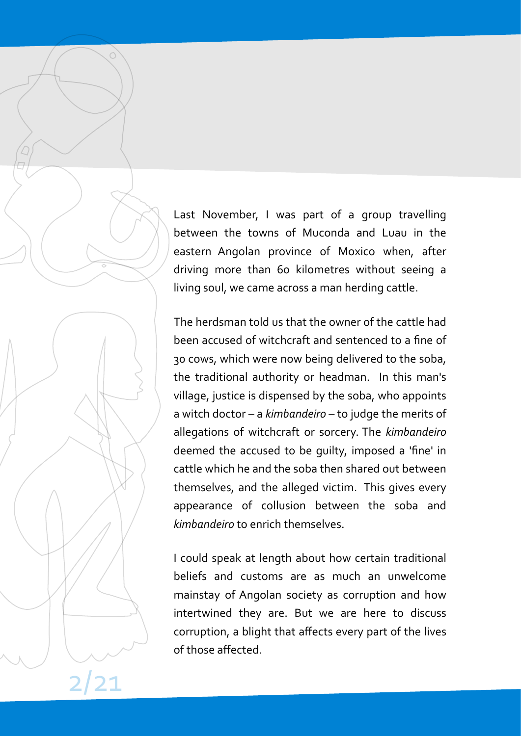Last November, I was part of a group travelling between the towns of Muconda and Luau in the eastern Angolan province of Moxico when, after driving more than 60 kilometres without seeing a living soul, we came across a man herding cattle.

The herdsman told us that the owner of the cattle had been accused of witchcraft and sentenced to a fine of 30 cows, which were now being delivered to the soba, the traditional authority or headman. In this man's village, justice is dispensed by the soba, who appoints a witch doctor – a *kimbandeiro* – to judge the merits of allegations of witchcraft or sorcery. The *kimbandeiro* deemed the accused to be guilty, imposed a 'fine' in cattle which he and the soba then shared out between themselves, and the alleged victim. This gives every appearance of collusion between the soba and *kimbandeiro* to enrich themselves.

I could speak at length about how certain traditional beliefs and customs are as much an unwelcome mainstay of Angolan society as corruption and how intertwined they are. But we are here to discuss corruption, a blight that affects every part of the lives of those affected.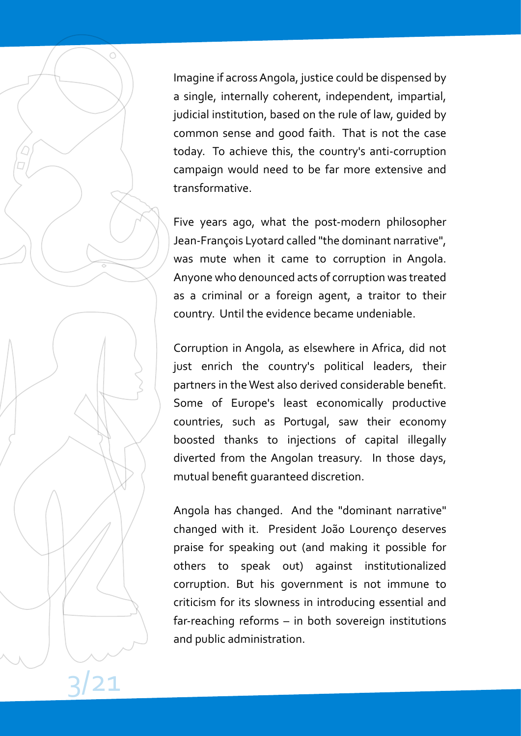Imagine if across Angola, justice could be dispensed by a single, internally coherent, independent, impartial, judicial institution, based on the rule of law, guided by common sense and good faith. That is not the case today. To achieve this, the country's anti-corruption campaign would need to be far more extensive and transformative.

Five years ago, what the post-modern philosopher Jean-François Lyotard called "the dominant narrative", was mute when it came to corruption in Angola. Anyone who denounced acts of corruption was treated as a criminal or a foreign agent, a traitor to their country. Until the evidence became undeniable.

Corruption in Angola, as elsewhere in Africa, did not just enrich the country's political leaders, their partners in the West also derived considerable benefit. Some of Europe's least economically productive countries, such as Portugal, saw their economy boosted thanks to injections of capital illegally diverted from the Angolan treasury. In those days, mutual benefit guaranteed discretion.

Angola has changed. And the "dominant narrative" changed with it. President João Lourenço deserves praise for speaking out (and making it possible for others to speak out) against institutionalized corruption. But his government is not immune to criticism for its slowness in introducing essential and far-reaching reforms – in both sovereign institutions and public administration.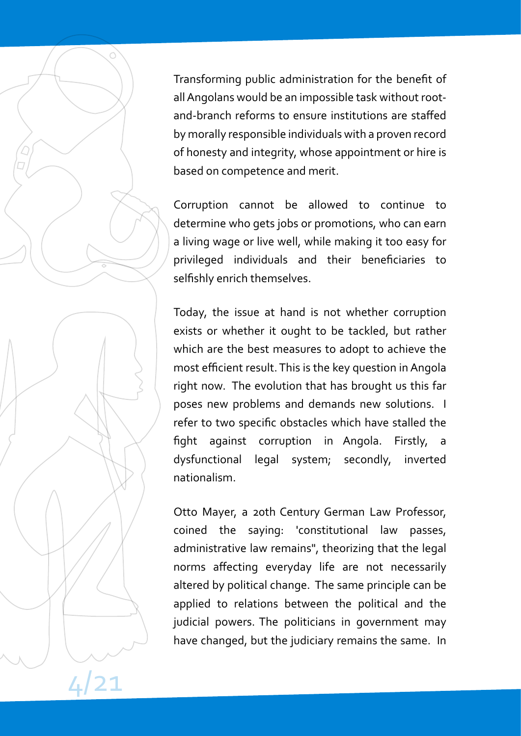Transforming public administration for the benefit of all Angolans would be an impossible task without rootand-branch reforms to ensure institutions are staffed by morally responsible individuals with a proven record of honesty and integrity, whose appointment or hire is based on competence and merit.

Corruption cannot be allowed to continue to determine who gets jobs or promotions, who can earn a living wage or live well, while making it too easy for privileged individuals and their beneficiaries to selfishly enrich themselves.

Today, the issue at hand is not whether corruption exists or whether it ought to be tackled, but rather which are the best measures to adopt to achieve the most efficient result. This is the key question in Angola right now. The evolution that has brought us this far poses new problems and demands new solutions. I refer to two specific obstacles which have stalled the fight against corruption in Angola. Firstly, a dysfunctional legal system; secondly, inverted nationalism.

Otto Mayer, a 20th Century German Law Professor, coined the saying: 'constitutional law passes, administrative law remains", theorizing that the legal norms affecting everyday life are not necessarily altered by political change. The same principle can be applied to relations between the political and the judicial powers. The politicians in government may have changed, but the judiciary remains the same. In

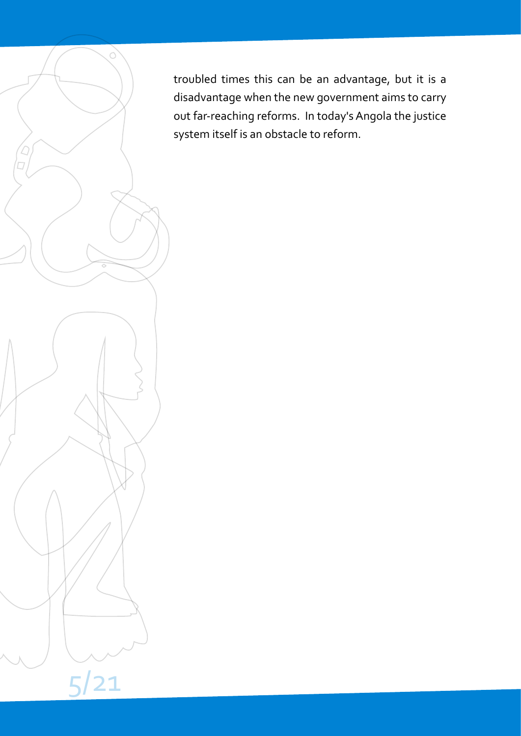troubled times this can be an advantage, but it is a disadvantage when the new government aims to carry out far-reaching reforms. In today's Angola the justice system itself is an obstacle to reform.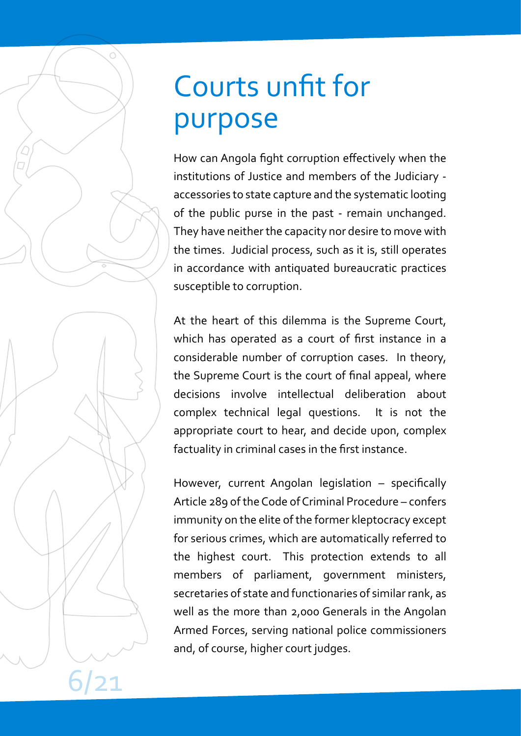# Courts unfit for purpose

How can Angola fight corruption effectively when the institutions of Justice and members of the Judiciary accessories to state capture and the systematic looting of the public purse in the past - remain unchanged. They have neither the capacity nor desire to move with the times. Judicial process, such as it is, still operates in accordance with antiquated bureaucratic practices susceptible to corruption.

At the heart of this dilemma is the Supreme Court, which has operated as a court of first instance in a considerable number of corruption cases. In theory, the Supreme Court is the court of final appeal, where decisions involve intellectual deliberation about complex technical legal questions. It is not the appropriate court to hear, and decide upon, complex factuality in criminal cases in the first instance.

However, current Angolan legislation – specifically Article 289 of the Code of Criminal Procedure – confers immunity on the elite of the former kleptocracy except for serious crimes, which are automatically referred to the highest court. This protection extends to all members of parliament, government ministers, secretaries of state and functionaries of similar rank, as well as the more than 2,000 Generals in the Angolan Armed Forces, serving national police commissioners and, of course, higher court judges.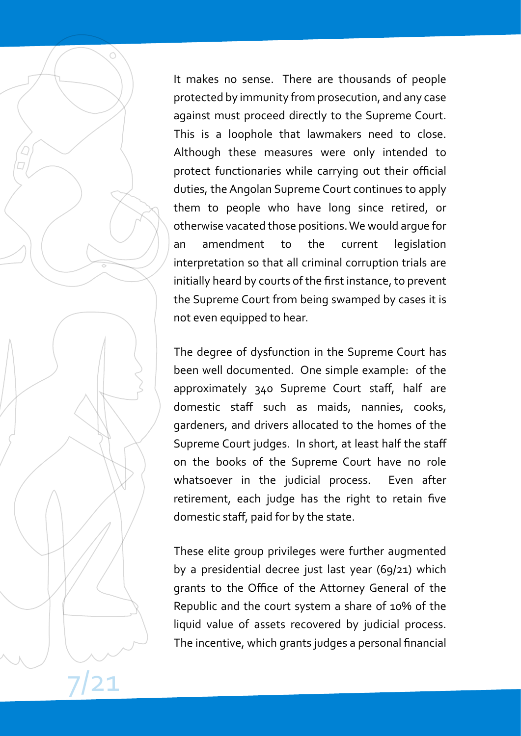It makes no sense. There are thousands of people protected by immunity from prosecution, and any case against must proceed directly to the Supreme Court. This is a loophole that lawmakers need to close. Although these measures were only intended to protect functionaries while carrying out their official duties, the Angolan Supreme Court continues to apply them to people who have long since retired, or otherwise vacated those positions.We would argue for an amendment to the current legislation interpretation so that all criminal corruption trials are initially heard by courts of the first instance, to prevent the Supreme Court from being swamped by cases it is not even equipped to hear.

The degree of dysfunction in the Supreme Court has been well documented. One simple example: of the approximately 340 Supreme Court staff, half are domestic staff such as maids, nannies, cooks, gardeners, and drivers allocated to the homes of the Supreme Court judges. In short, at least half the staff on the books of the Supreme Court have no role whatsoever in the judicial process. Even after retirement, each judge has the right to retain five domestic staff, paid for by the state.

These elite group privileges were further augmented by a presidential decree just last year (69/21) which grants to the Office of the Attorney General of the Republic and the court system a share of 10% of the liquid value of assets recovered by judicial process. The incentive, which grants judges a personal financial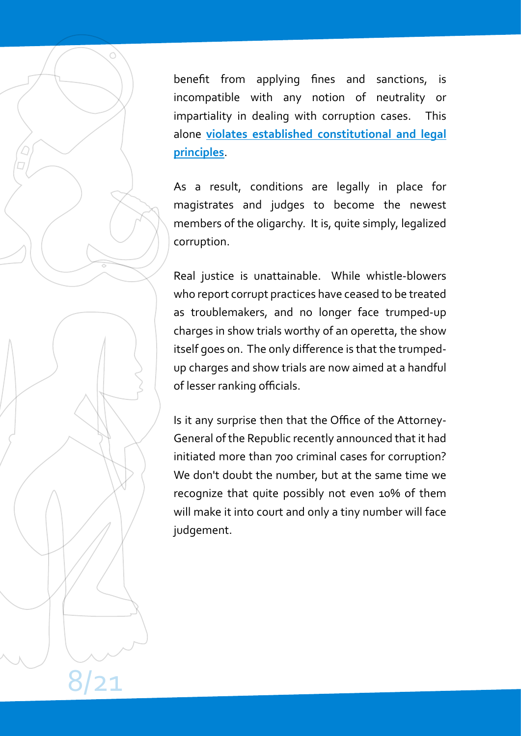benefit from applying fines and sanctions, is incompatible with any notion of neutrality or impartiality in dealing with corruption cases. This alone **[violates established constitutional and legal](https://www.makaangola.org/2021/07/a-confusao-sobre-o-papel-dos-tribunais-no-combate-a-corrupcao/) [principles](https://www.makaangola.org/2021/07/a-confusao-sobre-o-papel-dos-tribunais-no-combate-a-corrupcao/)**.

As a result, conditions are legally in place for magistrates and judges to become the newest members of the oligarchy. It is, quite simply, legalized corruption.

Real justice is unattainable. While whistle-blowers who report corrupt practices have ceased to be treated as troublemakers, and no longer face trumped-up charges in show trials worthy of an operetta, the show itself goes on. The only difference is that the trumpedup charges and show trials are now aimed at a handful of lesser ranking officials.

Is it any surprise then that the Office of the Attorney-General of the Republic recently announced that it had initiated more than 700 criminal cases for corruption? We don't doubt the number, but at the same time we recognize that quite possibly not even 10% of them will make it into court and only a tiny number will face judgement.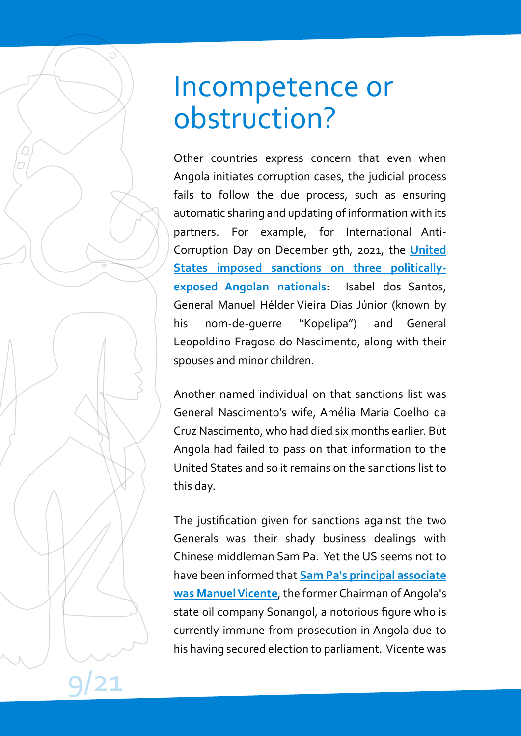#### Incompetence or obstruction?

Other countries express concern that even when Angola initiates corruption cases, the judicial process fails to follow the due process, such as ensuring automatic sharing and updating of information with its partners. For example, for International Anti-Corruption Day on December 9th, 2021, the **[United](https://home.treasury.gov/news/press-releases/jy0523) [States imposed sanctions on three politically](https://home.treasury.gov/news/press-releases/jy0523)[exposed Angolan nationals](https://home.treasury.gov/news/press-releases/jy0523)**: Isabel dos Santos, General Manuel Hélder Vieira Dias Júnior (known by his nom-de-guerre "Kopelipa") and General Leopoldino Fragoso do Nascimento, along with their spouses and minor children.

Another named individual on that sanctions list was General Nascimento's wife, Amélia Maria Coelho da Cruz Nascimento, who had died six months earlier. But Angola had failed to pass on that information to the United States and so it remains on the sanctions list to this day.

The justification given for sanctions against the two Generals was their shady business dealings with Chinese middleman Sam Pa. Yet the US seems not to have been informed that **[Sam Pa's principal associate](https://www.hrw.org/news/2011/12/20/angola-explain-missing-government-funds) was Manuel Vicente**, the former Chairman of Angola's state oil company Sonangol, a notorious figure who is currently immune from prosecution in Angola due to his having secured election to parliament. Vicente was

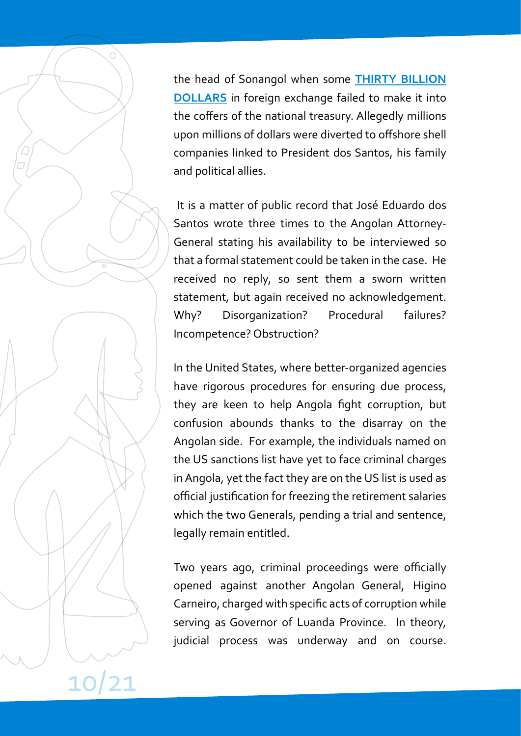the head of Sonangol when some **[THIRTY BILLION](https://www.ft.com/content/308a133a-1db8-11e4-b927-00144feabdc0) [DOLLARS](https://www.ft.com/content/308a133a-1db8-11e4-b927-00144feabdc0)** in foreign exchange failed to make it into the coffers of the national treasury. Allegedly millions upon millions of dollars were diverted to offshore shell companies linked to President dos Santos, his family and political allies.

It is a matter of public record that José Eduardo dos Santos wrote three times to the Angolan Attorney-General stating his availability to be interviewed so that a formal statement could be taken in the case. He received no reply, so sent them a sworn written statement, but again received no acknowledgement. Why? Disorganization? Procedural failures? Incompetence? Obstruction?

In the United States, where better-organized agencies have rigorous procedures for ensuring due process, they are keen to help Angola fight corruption, but confusion abounds thanks to the disarray on the Angolan side. For example, the individuals named on the US sanctions list have yet to face criminal charges in Angola, yet the fact they are on the US list is used as official justification for freezing the retirement salaries which the two Generals, pending a trial and sentence, legally remain entitled.

Two years ago, criminal proceedings were officially opened against another Angolan General, Higino Carneiro, charged with specific acts of corruption while serving as Governor of Luanda Province. In theory, judicial process was underway and on course.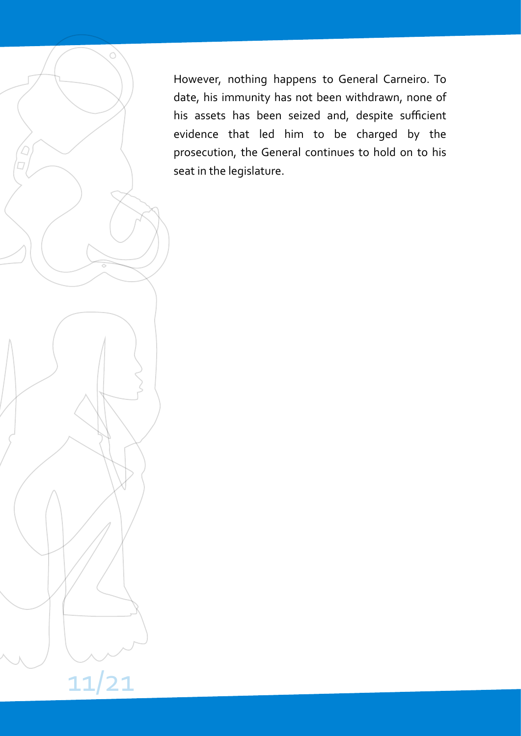However, nothing happens to General Carneiro. To date, his immunity has not been withdrawn, none of his assets has been seized and, despite sufficient evidence that led him to be charged by the prosecution, the General continues to hold on to his seat in the legislature.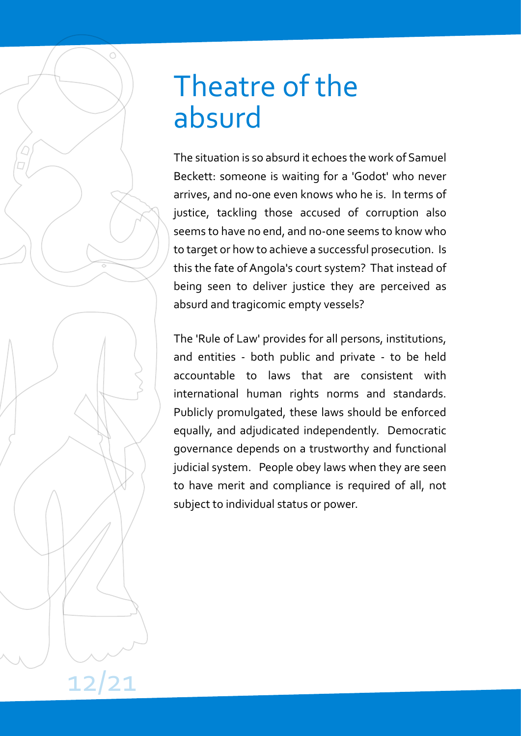### Theatre of the absurd

The situation is so absurd it echoes the work of Samuel Beckett: someone is waiting for a 'Godot' who never arrives, and no-one even knows who he is. In terms of justice, tackling those accused of corruption also seems to have no end, and no-one seems to know who to target or how to achieve a successful prosecution. Is this the fate of Angola's court system? That instead of being seen to deliver justice they are perceived as absurd and tragicomic empty vessels?

The 'Rule of Law' provides for all persons, institutions, and entities - both public and private - to be held accountable to laws that are consistent with international human rights norms and standards. Publicly promulgated, these laws should be enforced equally, and adjudicated independently. Democratic governance depends on a trustworthy and functional judicial system. People obey laws when they are seen to have merit and compliance is required of all, not subject to individual status or power.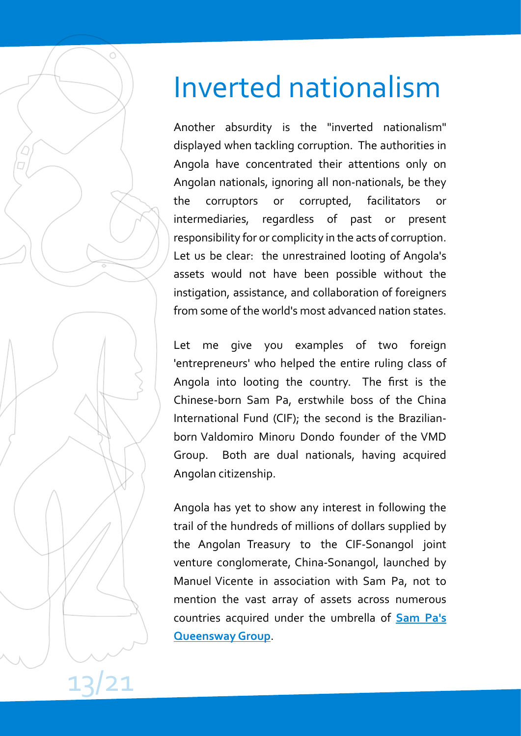# Inverted nationalism

Another absurdity is the "inverted nationalism" displayed when tackling corruption. The authorities in Angola have concentrated their attentions only on Angolan nationals, ignoring all non-nationals, be they the corruptors or corrupted, facilitators or intermediaries, regardless of past or present responsibility for or complicity in the acts of corruption. Let us be clear: the unrestrained looting of Angola's assets would not have been possible without the instigation, assistance, and collaboration of foreigners from some of the world's most advanced nation states.

Let me give you examples of two foreign 'entrepreneurs' who helped the entire ruling class of Angola into looting the country. The first is the Chinese-born Sam Pa, erstwhile boss of the China International Fund (CIF); the second is the Brazilianborn Valdomiro Minoru Dondo founder of the VMD Group. Both are dual nationals, having acquired Angolan citizenship.

Angola has yet to show any interest in following the trail of the hundreds of millions of dollars supplied by the Angolan Treasury to the CIF-Sonangol joint venture conglomerate, China-Sonangol, launched by Manuel Vicente in association with Sam Pa, not to mention the vast array of assets across numerous countries acquired under the umbrella of **[Sam Pa's](https://africacenter.org/wp-content/uploads/2015/12/Africa-Center-Special-Report-No.-3-EN.pdf) [Queensway Group](https://africacenter.org/wp-content/uploads/2015/12/Africa-Center-Special-Report-No.-3-EN.pdf)**.

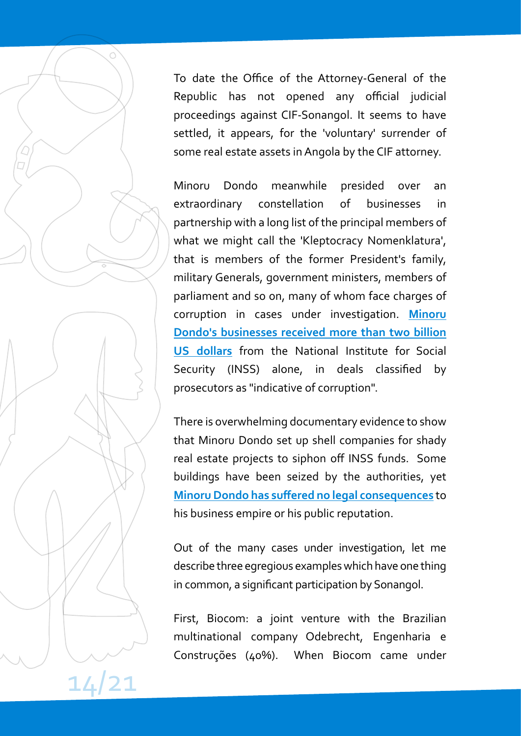To date the Office of the Attorney-General of the Republic has not opened any official judicial proceedings against CIF-Sonangol. It seems to have settled, it appears, for the 'voluntary' surrender of some real estate assets in Angola by the CIF attorney.

Minoru Dondo meanwhile presided over an extraordinary constellation of businesses in partnership with a long list of the principal members of what we might call the 'Kleptocracy Nomenklatura', that is members of the former President's family, military Generals, government ministers, members of parliament and so on, many of whom face charges of corruption in cases under investigation. **[Minoru](https://www.makaangola.org/2020/03/inss-para-onde-vai-o-dinheiro-dos-contribuintes-e-pensionistas-parte-i/) [Dondo's businesses received more than two billion](https://www.makaangola.org/2020/03/inss-para-onde-vai-o-dinheiro-dos-contribuintes-e-pensionistas-parte-i/) [US dollars](https://www.makaangola.org/2020/03/inss-para-onde-vai-o-dinheiro-dos-contribuintes-e-pensionistas-parte-i/)** from the National Institute for Social Security (INSS) alone, in deals classified by prosecutors as "indicative of corruption".

There is overwhelming documentary evidence to show that Minoru Dondo set up shell companies for shady real estate projects to siphon off INSS funds. Some buildings have been seized by the authorities, yet **[Minoru Dondo has suffered no legal consequences](https://www.makaangola.org/2020/03/inss-para-onde-vai-o-dinheiro-dos-contribuintes-e-pensionistas-parte-2/)** to his business empire or his public reputation.

Out of the many cases under investigation, let me describe three egregious examples which have one thing in common, a significant participation by Sonangol.

First, Biocom: a joint venture with the Brazilian multinational company Odebrecht, Engenharia e Construções (40%). When Biocom came under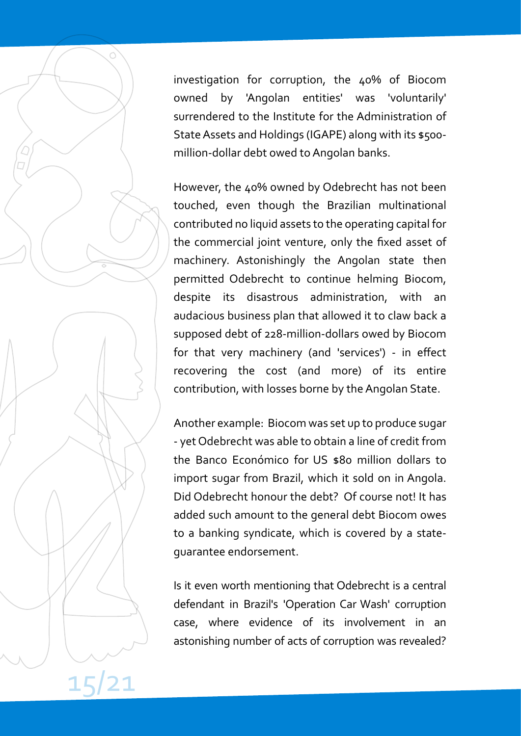investigation for corruption, the 40% of Biocom owned by 'Angolan entities' was 'voluntarily' surrendered to the Institute for the Administration of State Assets and Holdings (IGAPE) along with its \$500 million-dollar debt owed to Angolan banks.

However, the 40% owned by Odebrecht has not been touched, even though the Brazilian multinational contributed no liquid assets to the operating capital for the commercial joint venture, only the fixed asset of machinery. Astonishingly the Angolan state then permitted Odebrecht to continue helming Biocom, despite its disastrous administration, with an audacious business plan that allowed it to claw back a supposed debt of 228-million-dollars owed by Biocom for that very machinery (and 'services') - in effect recovering the cost (and more) of its entire contribution, with losses borne by the Angolan State.

Another example: Biocom was set up to produce sugar - yet Odebrecht was able to obtain a line of credit from the Banco Económico for US \$80 million dollars to import sugar from Brazil, which it sold on in Angola. Did Odebrecht honour the debt? Of course not! It has added such amount to the general debt Biocom owes to a banking syndicate, which is covered by a stateguarantee endorsement.

Is it even worth mentioning that Odebrecht is a central defendant in Brazil's 'Operation Car Wash' corruption case, where evidence of its involvement in an astonishing number of acts of corruption was revealed?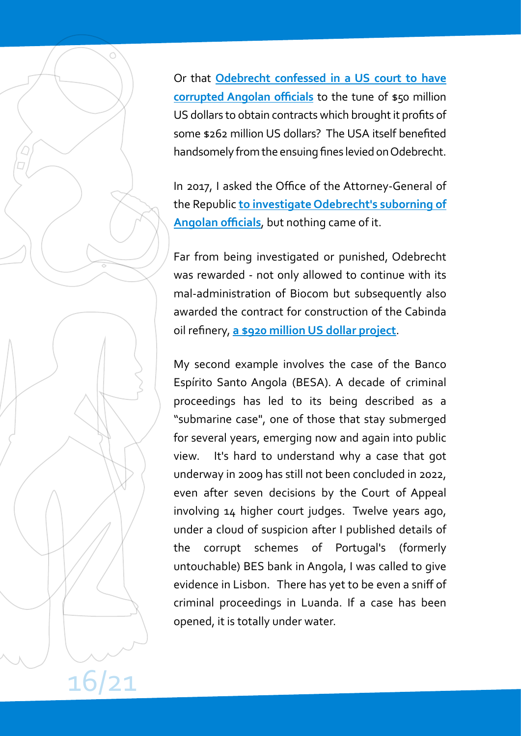Or that **[Odebrecht confessed in a US court to have](https://www.justice.gov/criminal-fraud/file/920101/download) [corrupted Angolan officials](https://www.justice.gov/criminal-fraud/file/920101/download)** to the tune of \$50 million US dollars to obtain contracts which brought it profits of some \$262 million US dollars? The USA itself benefited handsomely from the ensuing fines levied on Odebrecht.

In 2017, I asked the Office of the Attorney-General of the Republic **[to investigate Odebrecht's suborning of](https://www.makaangola.org/2017/01/dirigentes-corrompidos-pela-odebrecht-devem-ser-investigados/) [Angolan officials](https://www.makaangola.org/2017/01/dirigentes-corrompidos-pela-odebrecht-devem-ser-investigados/)**, but nothing came of it.

Far from being investigated or punished, Odebrecht was rewarded - not only allowed to continue with its mal-administration of Biocom but subsequently also awarded the contract for construction of the Cabinda oil refinery, **[a \\$920 million US dollar project](https://www.jornaldeangola.ao/ao/noticias/odebrecht-vai-construir-a-refinaria-de-cabinda/)**.

My second example involves the case of the Banco Espírito Santo Angola (BESA). A decade of criminal proceedings has led to its being described as a "submarine case", one of those that stay submerged for several years, emerging now and again into public view. It's hard to understand why a case that got underway in 2009 has still not been concluded in 2022, even after seven decisions by the Court of Appeal involving 14 higher court judges. Twelve years ago, under a cloud of suspicion after I published details of the corrupt schemes of Portugal's (formerly untouchable) BES bank in Angola, I was called to give evidence in Lisbon. There has yet to be even a sniff of criminal proceedings in Luanda. If a case has been opened, it is totally under water.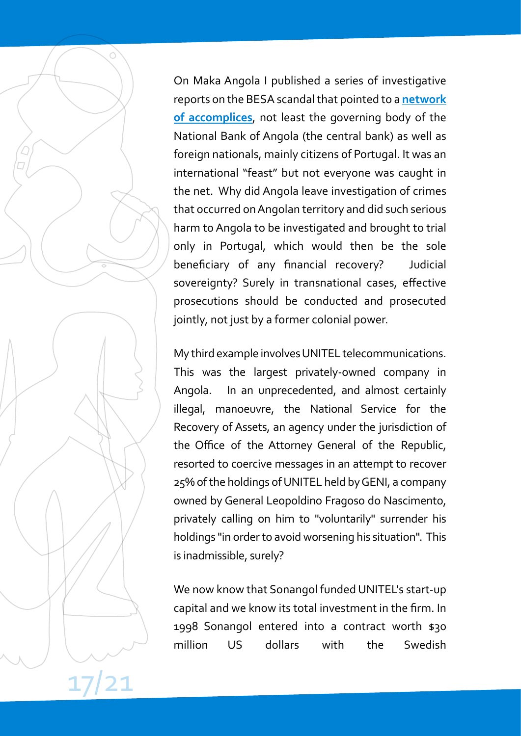On Maka Angola I published a series of investigative reports on the BESA scandal that pointed to a **[network](https://www.makaangola.org/2018/10/lima-massano-cumplice-na-pilhagem-do-besa-e-noutras/) [of accomplices](https://www.makaangola.org/2018/10/lima-massano-cumplice-na-pilhagem-do-besa-e-noutras/)**, not least the governing body of the National Bank of Angola (the central bank) as well as foreign nationals, mainly citizens of Portugal. It was an international "feast" but not everyone was caught in the net. Why did Angola leave investigation of crimes that occurred onAngolan territory and did such serious harm to Angola to be investigated and brought to trial only in Portugal, which would then be the sole beneficiary of any financial recovery? Judicial sovereignty? Surely in transnational cases, effective prosecutions should be conducted and prosecuted jointly, not just by a former colonial power.

My third example involvesUNITEL telecommunications. This was the largest privately-owned company in Angola. In an unprecedented, and almost certainly illegal, manoeuvre, the National Service for the Recovery of Assets, an agency under the jurisdiction of the Office of the Attorney General of the Republic, resorted to coercive messages in an attempt to recover 25% of the holdings ofUNITEL held byGENI, a company owned by General Leopoldino Fragoso do Nascimento, privately calling on him to "voluntarily" surrender his holdings "in order to avoid worsening his situation". This is inadmissible, surely?

We now know that Sonangol funded UNITEL's start-up capital and we know its total investment in the firm. In 1998 Sonangol entered into a contract worth \$30 million US dollars with the Swedish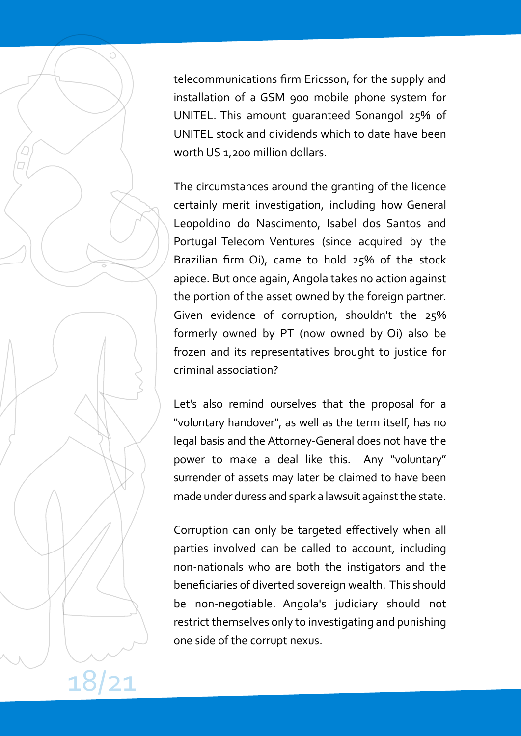telecommunications firm Ericsson, for the supply and installation of a GSM 900 mobile phone system for UNITEL. This amount guaranteed Sonangol 25% of UNITEL stock and dividends which to date have been worth US 1,200 million dollars.

The circumstances around the granting of the licence certainly merit investigation, including how General Leopoldino do Nascimento, Isabel dos Santos and Portugal Telecom Ventures (since acquired by the Brazilian firm Oi), came to hold 25% of the stock apiece. But once again, Angola takes no action against the portion of the asset owned by the foreign partner. Given evidence of corruption, shouldn't the 25% formerly owned by PT (now owned by Oi) also be frozen and its representatives brought to justice for criminal association?

Let's also remind ourselves that the proposal for a "voluntary handover", as well as the term itself, has no legal basis and the Attorney-General does not have the power to make a deal like this. Any "voluntary" surrender of assets may later be claimed to have been made under duress and spark a lawsuit against the state.

Corruption can only be targeted effectively when all parties involved can be called to account, including non-nationals who are both the instigators and the beneficiaries of diverted sovereign wealth. This should be non-negotiable. Angola's judiciary should not restrict themselves only to investigating and punishing one side of the corrupt nexus.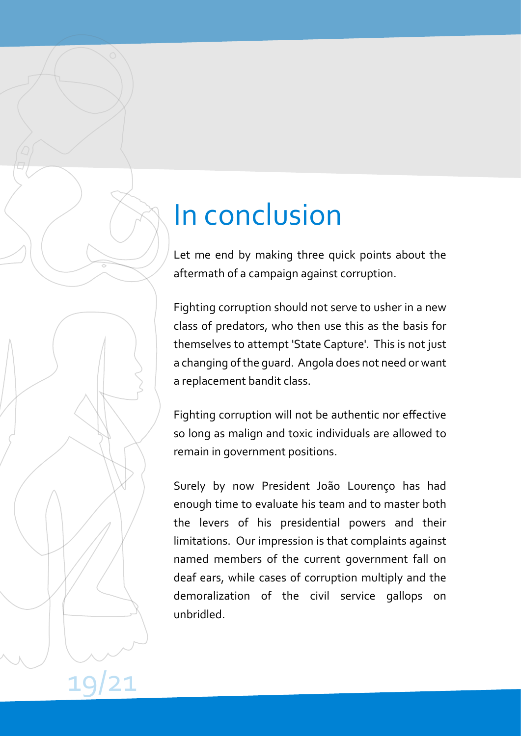### In conclusion

Let me end by making three quick points about the aftermath of a campaign against corruption.

Fighting corruption should not serve to usher in a new class of predators, who then use this as the basis for themselves to attempt 'State Capture'. This is not just a changing of the guard. Angola does not need or want a replacement bandit class.

Fighting corruption will not be authentic nor effective so long as malign and toxic individuals are allowed to remain in government positions.

Surely by now President João Lourenço has had enough time to evaluate his team and to master both the levers of his presidential powers and their limitations. Our impression is that complaints against named members of the current government fall on deaf ears, while cases of corruption multiply and the demoralization of the civil service gallops on unbridled.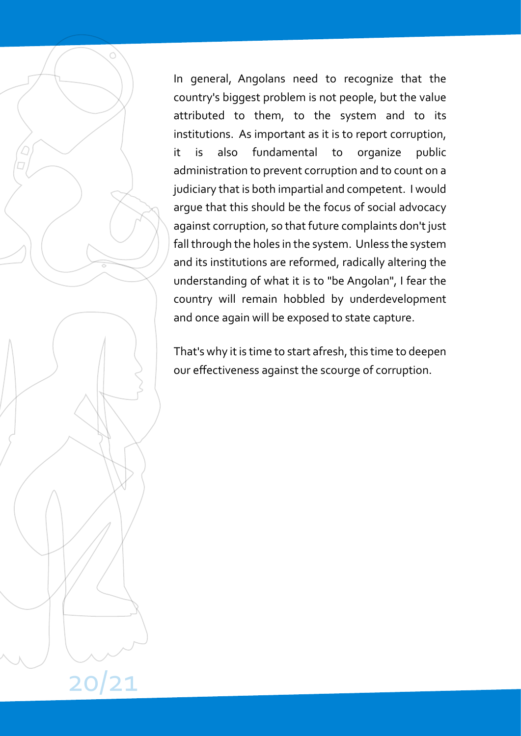In general, Angolans need to recognize that the country's biggest problem is not people, but the value attributed to them, to the system and to its institutions. As important as it is to report corruption, it is also fundamental to organize public administration to prevent corruption and to count on a judiciary that is both impartial and competent. I would argue that this should be the focus of social advocacy against corruption, so that future complaints don't just fall through the holes in the system. Unless the system and its institutions are reformed, radically altering the understanding of what it is to "be Angolan", I fear the country will remain hobbled by underdevelopment and once again will be exposed to state capture.

That's why it is time to start afresh, this time to deepen our effectiveness against the scourge of corruption.